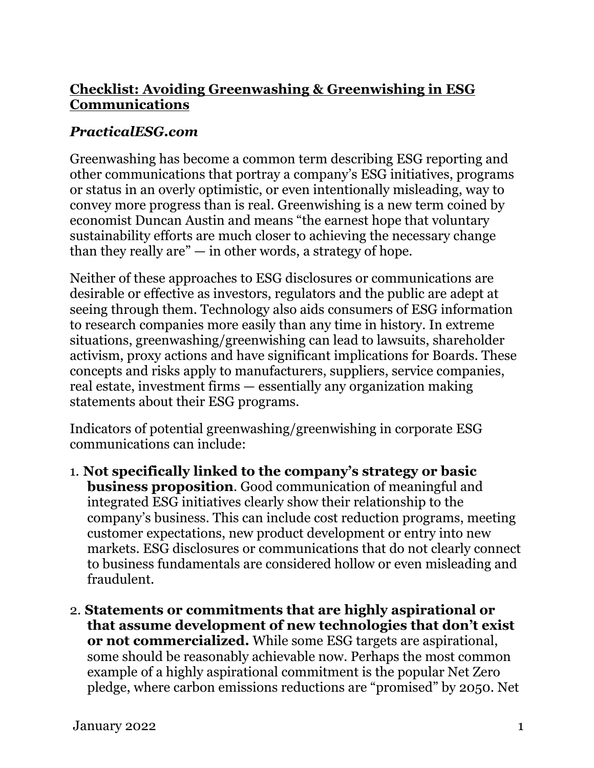## **Checklist: Avoiding Greenwashing & Greenwishing in ESG Communications**

## *PracticalESG.com*

Greenwashing has become a common term describing ESG reporting and other communications that portray a company's ESG initiatives, programs or status in an overly optimistic, or even intentionally misleading, way to convey more progress than is real. Greenwishing is a new term coined by economist Duncan Austin and means "the earnest hope that voluntary sustainability efforts are much closer to achieving the necessary change than they really are"  $-$  in other words, a strategy of hope.

Neither of these approaches to ESG disclosures or communications are desirable or effective as investors, regulators and the public are adept at seeing through them. Technology also aids consumers of ESG information to research companies more easily than any time in history. In extreme situations, greenwashing/greenwishing can lead to lawsuits, shareholder activism, proxy actions and have significant implications for Boards. These concepts and risks apply to manufacturers, suppliers, service companies, real estate, investment firms — essentially any organization making statements about their ESG programs.

Indicators of potential greenwashing/greenwishing in corporate ESG communications can include:

- 1. **Not specifically linked to the company's strategy or basic business proposition**. Good communication of meaningful and integrated ESG initiatives clearly show their relationship to the company's business. This can include cost reduction programs, meeting customer expectations, new product development or entry into new markets. ESG disclosures or communications that do not clearly connect to business fundamentals are considered hollow or even misleading and fraudulent.
- 2. **Statements or commitments that are highly aspirational or that assume development of new technologies that don't exist or not commercialized.** While some ESG targets are aspirational, some should be reasonably achievable now. Perhaps the most common example of a highly aspirational commitment is the popular Net Zero pledge, where carbon emissions reductions are "promised" by 2050. Net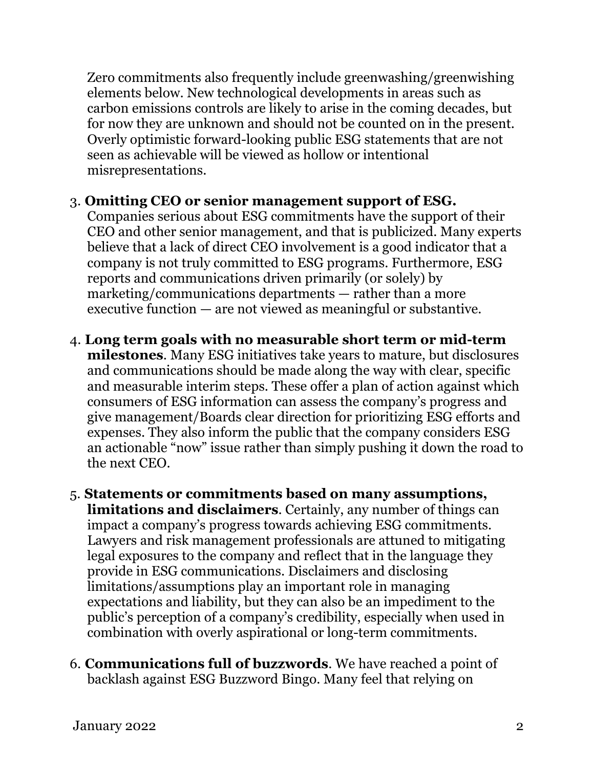Zero commitments also frequently include greenwashing/greenwishing elements below. New technological developments in areas such as carbon emissions controls are likely to arise in the coming decades, but for now they are unknown and should not be counted on in the present. Overly optimistic forward-looking public ESG statements that are not seen as achievable will be viewed as hollow or intentional misrepresentations.

## 3. **Omitting CEO or senior management support of ESG.**

Companies serious about ESG commitments have the support of their CEO and other senior management, and that is publicized. Many experts believe that a lack of direct CEO involvement is a good indicator that a company is not truly committed to ESG programs. Furthermore, ESG reports and communications driven primarily (or solely) by marketing/communications departments — rather than a more executive function — are not viewed as meaningful or substantive.

- 4. **Long term goals with no measurable short term or mid-term milestones**. Many ESG initiatives take years to mature, but disclosures and communications should be made along the way with clear, specific and measurable interim steps. These offer a plan of action against which consumers of ESG information can assess the company's progress and give management/Boards clear direction for prioritizing ESG efforts and expenses. They also inform the public that the company considers ESG an actionable "now" issue rather than simply pushing it down the road to the next CEO.
- 5. **Statements or commitments based on many assumptions, limitations and disclaimers**. Certainly, any number of things can impact a company's progress towards achieving ESG commitments. Lawyers and risk management professionals are attuned to mitigating legal exposures to the company and reflect that in the language they provide in ESG communications. Disclaimers and disclosing limitations/assumptions play an important role in managing expectations and liability, but they can also be an impediment to the public's perception of a company's credibility, especially when used in combination with overly aspirational or long-term commitments.
- 6. **Communications full of buzzwords**. We have reached a point of backlash against ESG Buzzword Bingo. Many feel that relying on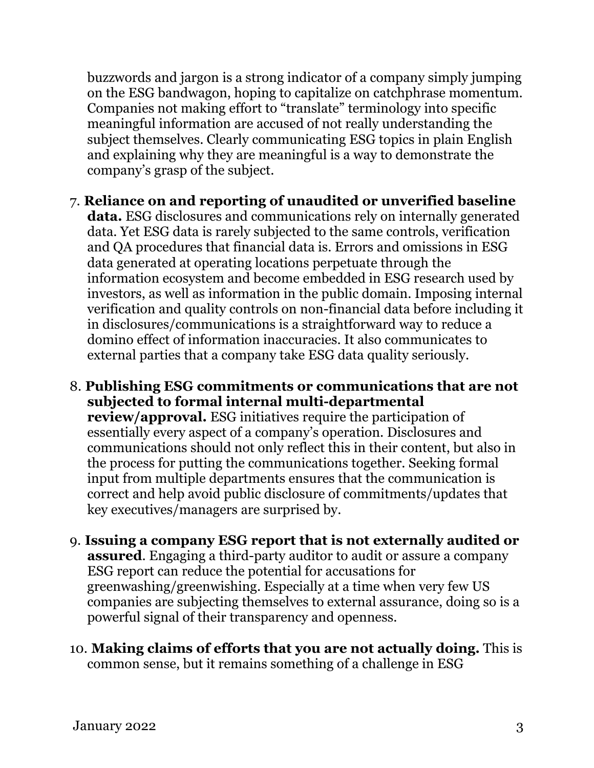buzzwords and jargon is a strong indicator of a company simply jumping on the ESG bandwagon, hoping to capitalize on catchphrase momentum. Companies not making effort to "translate" terminology into specific meaningful information are accused of not really understanding the subject themselves. Clearly communicating ESG topics in plain English and explaining why they are meaningful is a way to demonstrate the company's grasp of the subject.

## 7. **Reliance on and reporting of unaudited or unverified baseline**

**data.** ESG disclosures and communications rely on internally generated data. Yet ESG data is rarely subjected to the same controls, verification and QA procedures that financial data is. Errors and omissions in ESG data generated at operating locations perpetuate through the information ecosystem and become embedded in ESG research used by investors, as well as information in the public domain. Imposing internal verification and quality controls on non-financial data before including it in disclosures/communications is a straightforward way to reduce a domino effect of information inaccuracies. It also communicates to external parties that a company take ESG data quality seriously.

- 8. **Publishing ESG commitments or communications that are not subjected to formal internal multi-departmental review/approval.** ESG initiatives require the participation of essentially every aspect of a company's operation. Disclosures and communications should not only reflect this in their content, but also in the process for putting the communications together. Seeking formal input from multiple departments ensures that the communication is correct and help avoid public disclosure of commitments/updates that key executives/managers are surprised by.
- 9. **Issuing a company ESG report that is not externally audited or assured**. Engaging a third-party auditor to audit or assure a company ESG report can reduce the potential for accusations for greenwashing/greenwishing. Especially at a time when very few US companies are subjecting themselves to external assurance, doing so is a powerful signal of their transparency and openness.
- 10. **Making claims of efforts that you are not actually doing.** This is common sense, but it remains something of a challenge in ESG